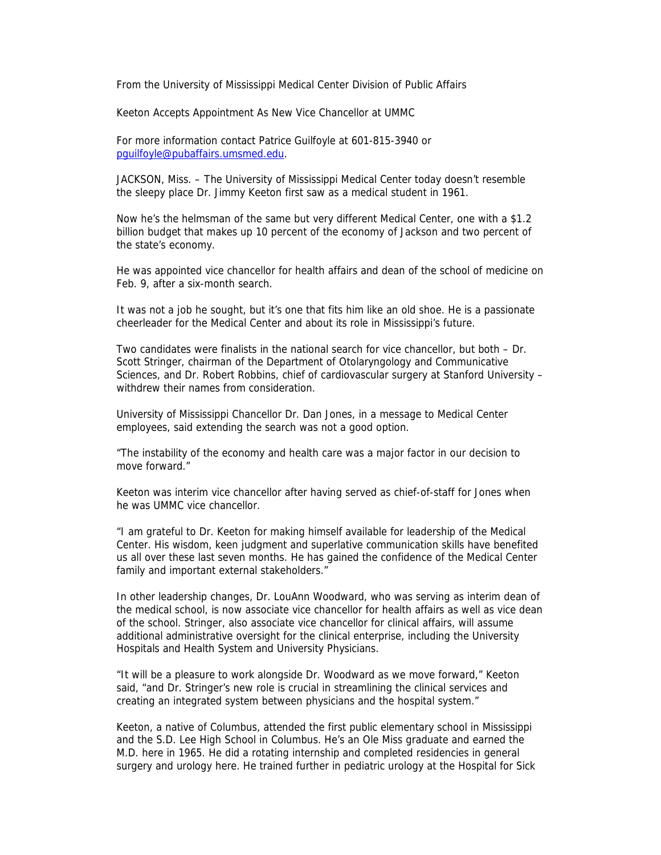From the University of Mississippi Medical Center Division of Public Affairs

Keeton Accepts Appointment As New Vice Chancellor at UMMC

For more information contact Patrice Guilfoyle at 601-815-3940 or pguilfoyle@pubaffairs.umsmed.edu.

JACKSON, Miss. – The University of Mississippi Medical Center today doesn't resemble the sleepy place Dr. Jimmy Keeton first saw as a medical student in 1961.

Now he's the helmsman of the same but very different Medical Center, one with a \$1.2 billion budget that makes up 10 percent of the economy of Jackson and two percent of the state's economy.

He was appointed vice chancellor for health affairs and dean of the school of medicine on Feb. 9, after a six-month search.

It was not a job he sought, but it's one that fits him like an old shoe. He is a passionate cheerleader for the Medical Center and about its role in Mississippi's future.

Two candidates were finalists in the national search for vice chancellor, but both – Dr. Scott Stringer, chairman of the Department of Otolaryngology and Communicative Sciences, and Dr. Robert Robbins, chief of cardiovascular surgery at Stanford University – withdrew their names from consideration.

University of Mississippi Chancellor Dr. Dan Jones, in a message to Medical Center employees, said extending the search was not a good option.

"The instability of the economy and health care was a major factor in our decision to move forward."

Keeton was interim vice chancellor after having served as chief-of-staff for Jones when he was UMMC vice chancellor.

"I am grateful to Dr. Keeton for making himself available for leadership of the Medical Center. His wisdom, keen judgment and superlative communication skills have benefited us all over these last seven months. He has gained the confidence of the Medical Center family and important external stakeholders."

In other leadership changes, Dr. LouAnn Woodward, who was serving as interim dean of the medical school, is now associate vice chancellor for health affairs as well as vice dean of the school. Stringer, also associate vice chancellor for clinical affairs, will assume additional administrative oversight for the clinical enterprise, including the University Hospitals and Health System and University Physicians.

"It will be a pleasure to work alongside Dr. Woodward as we move forward," Keeton said, "and Dr. Stringer's new role is crucial in streamlining the clinical services and creating an integrated system between physicians and the hospital system."

Keeton, a native of Columbus, attended the first public elementary school in Mississippi and the S.D. Lee High School in Columbus. He's an Ole Miss graduate and earned the M.D. here in 1965. He did a rotating internship and completed residencies in general surgery and urology here. He trained further in pediatric urology at the Hospital for Sick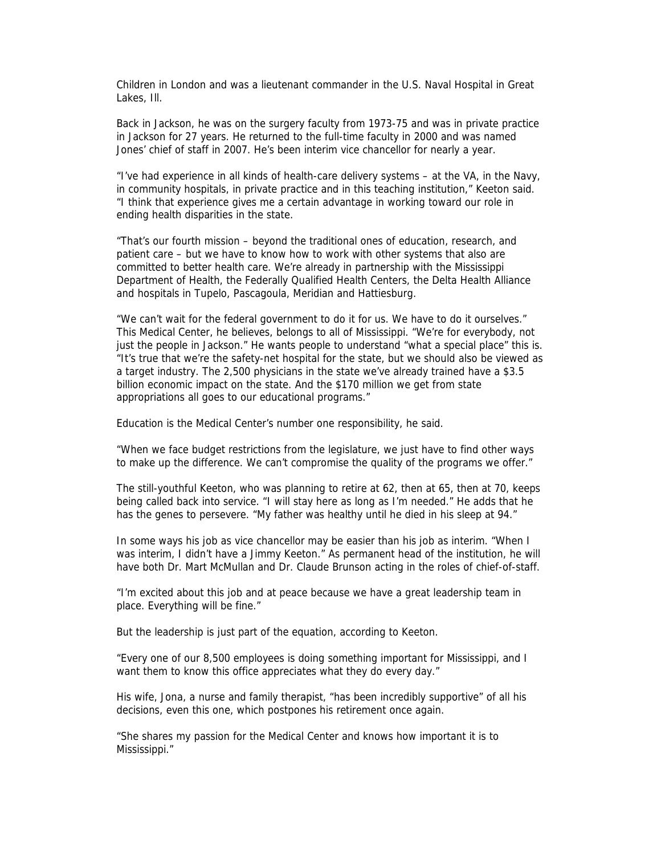Children in London and was a lieutenant commander in the U.S. Naval Hospital in Great Lakes, Ill.

Back in Jackson, he was on the surgery faculty from 1973-75 and was in private practice in Jackson for 27 years. He returned to the full-time faculty in 2000 and was named Jones' chief of staff in 2007. He's been interim vice chancellor for nearly a year.

"I've had experience in all kinds of health-care delivery systems – at the VA, in the Navy, in community hospitals, in private practice and in this teaching institution," Keeton said. "I think that experience gives me a certain advantage in working toward our role in ending health disparities in the state.

"That's our fourth mission – beyond the traditional ones of education, research, and patient care – but we have to know how to work with other systems that also are committed to better health care. We're already in partnership with the Mississippi Department of Health, the Federally Qualified Health Centers, the Delta Health Alliance and hospitals in Tupelo, Pascagoula, Meridian and Hattiesburg.

"We can't wait for the federal government to do it for us. We have to do it ourselves." This Medical Center, he believes, belongs to all of Mississippi. "We're for everybody, not just the people in Jackson." He wants people to understand "what a special place" this is. "It's true that we're the safety-net hospital for the state, but we should also be viewed as a target industry. The 2,500 physicians in the state we've already trained have a \$3.5 billion economic impact on the state. And the \$170 million we get from state appropriations all goes to our educational programs."

Education is the Medical Center's number one responsibility, he said.

"When we face budget restrictions from the legislature, we just have to find other ways to make up the difference. We can't compromise the quality of the programs we offer."

The still-youthful Keeton, who was planning to retire at 62, then at 65, then at 70, keeps being called back into service. "I will stay here as long as I'm needed." He adds that he has the genes to persevere. "My father was healthy until he died in his sleep at 94."

In some ways his job as vice chancellor may be easier than his job as interim. "When I was interim, I didn't have a Jimmy Keeton." As permanent head of the institution, he will have both Dr. Mart McMullan and Dr. Claude Brunson acting in the roles of chief-of-staff.

"I'm excited about this job and at peace because we have a great leadership team in place. Everything will be fine."

But the leadership is just part of the equation, according to Keeton.

"Every one of our 8,500 employees is doing something important for Mississippi, and I want them to know this office appreciates what they do every day."

His wife, Jona, a nurse and family therapist, "has been incredibly supportive" of all his decisions, even this one, which postpones his retirement once again.

"She shares my passion for the Medical Center and knows how important it is to Mississippi."